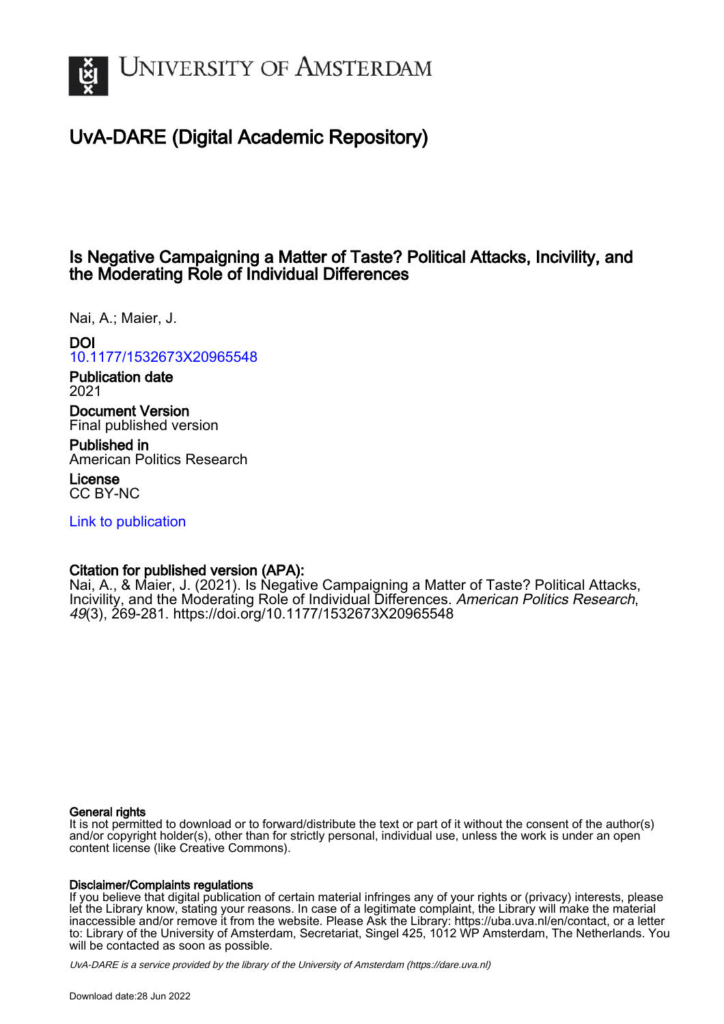

# UvA-DARE (Digital Academic Repository)

# Is Negative Campaigning a Matter of Taste? Political Attacks, Incivility, and the Moderating Role of Individual Differences

Nai, A.; Maier, J.

DOI

[10.1177/1532673X20965548](https://doi.org/10.1177/1532673X20965548)

Publication date 2021

Document Version Final published version

Published in American Politics Research

License CC BY-NC

[Link to publication](https://dare.uva.nl/personal/pure/en/publications/is-negative-campaigning-a-matter-oftaste-political-attacks-incivility-and-themoderating-role-of-individual-differences(6dff4aba-249e-497a-b0d6-1e550b4c50d8).html)

# Citation for published version (APA):

Nai, A., & Maier, J. (2021). Is Negative Campaigning a Matter of Taste? Political Attacks, Incivility, and the Moderating Role of Individual Differences. American Politics Research, 49(3), 269-281.<https://doi.org/10.1177/1532673X20965548>

# General rights

It is not permitted to download or to forward/distribute the text or part of it without the consent of the author(s) and/or copyright holder(s), other than for strictly personal, individual use, unless the work is under an open content license (like Creative Commons).

# Disclaimer/Complaints regulations

If you believe that digital publication of certain material infringes any of your rights or (privacy) interests, please let the Library know, stating your reasons. In case of a legitimate complaint, the Library will make the material inaccessible and/or remove it from the website. Please Ask the Library: https://uba.uva.nl/en/contact, or a letter to: Library of the University of Amsterdam, Secretariat, Singel 425, 1012 WP Amsterdam, The Netherlands. You will be contacted as soon as possible.

UvA-DARE is a service provided by the library of the University of Amsterdam (http*s*://dare.uva.nl)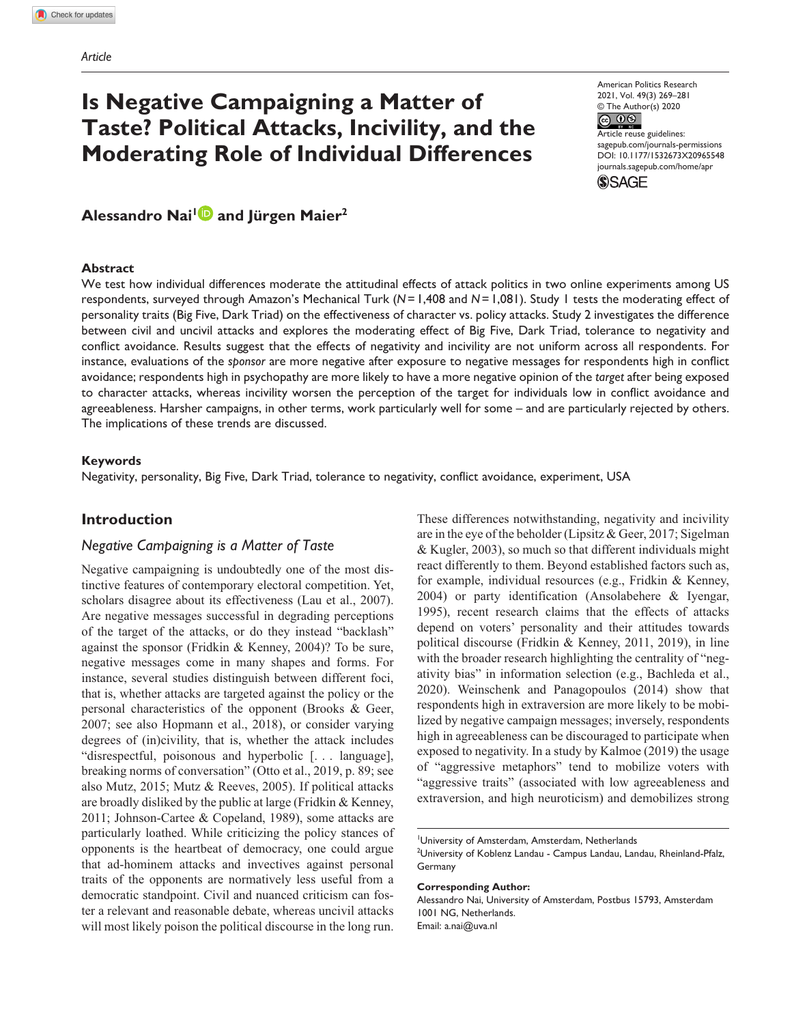# **Is Negative Campaigning a Matter of Taste? Political Attacks, Incivility, and the Moderating Role of Individual Differences**

American Politics Research 2021, Vol. 49(3) 269–281 © The Author(s) 2020

Article reuse guidelines: sagepub.com/journals-permissions DOI: 10.1177/1532673X20965548 [journals.sagepub.com/home/apr](https://journals.sagepub.com/home/apr) **SSAGE** 

**Alessandro Nai<sup>1</sup> and Jürgen Maier<sup>2</sup>** 

#### **Abstract**

We test how individual differences moderate the attitudinal effects of attack politics in two online experiments among US respondents, surveyed through Amazon's Mechanical Turk (*N*=1,408 and *N*=1,081). Study 1 tests the moderating effect of personality traits (Big Five, Dark Triad) on the effectiveness of character vs. policy attacks. Study 2 investigates the difference between civil and uncivil attacks and explores the moderating effect of Big Five, Dark Triad, tolerance to negativity and conflict avoidance. Results suggest that the effects of negativity and incivility are not uniform across all respondents. For instance, evaluations of the *sponsor* are more negative after exposure to negative messages for respondents high in conflict avoidance; respondents high in psychopathy are more likely to have a more negative opinion of the *target* after being exposed to character attacks, whereas incivility worsen the perception of the target for individuals low in conflict avoidance and agreeableness. Harsher campaigns, in other terms, work particularly well for some – and are particularly rejected by others. The implications of these trends are discussed.

#### **Keywords**

Negativity, personality, Big Five, Dark Triad, tolerance to negativity, conflict avoidance, experiment, USA

# **Introduction**

## *Negative Campaigning is a Matter of Taste*

Negative campaigning is undoubtedly one of the most distinctive features of contemporary electoral competition. Yet, scholars disagree about its effectiveness (Lau et al., 2007). Are negative messages successful in degrading perceptions of the target of the attacks, or do they instead "backlash" against the sponsor (Fridkin & Kenney, 2004)? To be sure, negative messages come in many shapes and forms. For instance, several studies distinguish between different foci, that is, whether attacks are targeted against the policy or the personal characteristics of the opponent (Brooks & Geer, 2007; see also Hopmann et al., 2018), or consider varying degrees of (in)civility, that is, whether the attack includes "disrespectful, poisonous and hyperbolic [. . . language], breaking norms of conversation" (Otto et al., 2019, p. 89; see also Mutz, 2015; Mutz & Reeves, 2005). If political attacks are broadly disliked by the public at large (Fridkin & Kenney, 2011; Johnson-Cartee & Copeland, 1989), some attacks are particularly loathed. While criticizing the policy stances of opponents is the heartbeat of democracy, one could argue that ad-hominem attacks and invectives against personal traits of the opponents are normatively less useful from a democratic standpoint. Civil and nuanced criticism can foster a relevant and reasonable debate, whereas uncivil attacks will most likely poison the political discourse in the long run. These differences notwithstanding, negativity and incivility are in the eye of the beholder (Lipsitz & Geer, 2017; Sigelman & Kugler, 2003), so much so that different individuals might react differently to them. Beyond established factors such as, for example, individual resources (e.g., Fridkin & Kenney, 2004) or party identification (Ansolabehere & Iyengar, 1995), recent research claims that the effects of attacks depend on voters' personality and their attitudes towards political discourse (Fridkin & Kenney, 2011, 2019), in line with the broader research highlighting the centrality of "negativity bias" in information selection (e.g., Bachleda et al., 2020). Weinschenk and Panagopoulos (2014) show that respondents high in extraversion are more likely to be mobilized by negative campaign messages; inversely, respondents high in agreeableness can be discouraged to participate when exposed to negativity. In a study by Kalmoe (2019) the usage of "aggressive metaphors" tend to mobilize voters with "aggressive traits" (associated with low agreeableness and extraversion, and high neuroticism) and demobilizes strong

#### **Corresponding Author:**

Alessandro Nai, University of Amsterdam, Postbus 15793, Amsterdam 1001 NG, Netherlands. Email: [a.nai@uva.nl](mailto:a.nai@uva.nl)

<sup>1</sup> University of Amsterdam, Amsterdam, Netherlands <sup>2</sup>University of Koblenz Landau - Campus Landau, Landau, Rheinland-Pfalz, Germany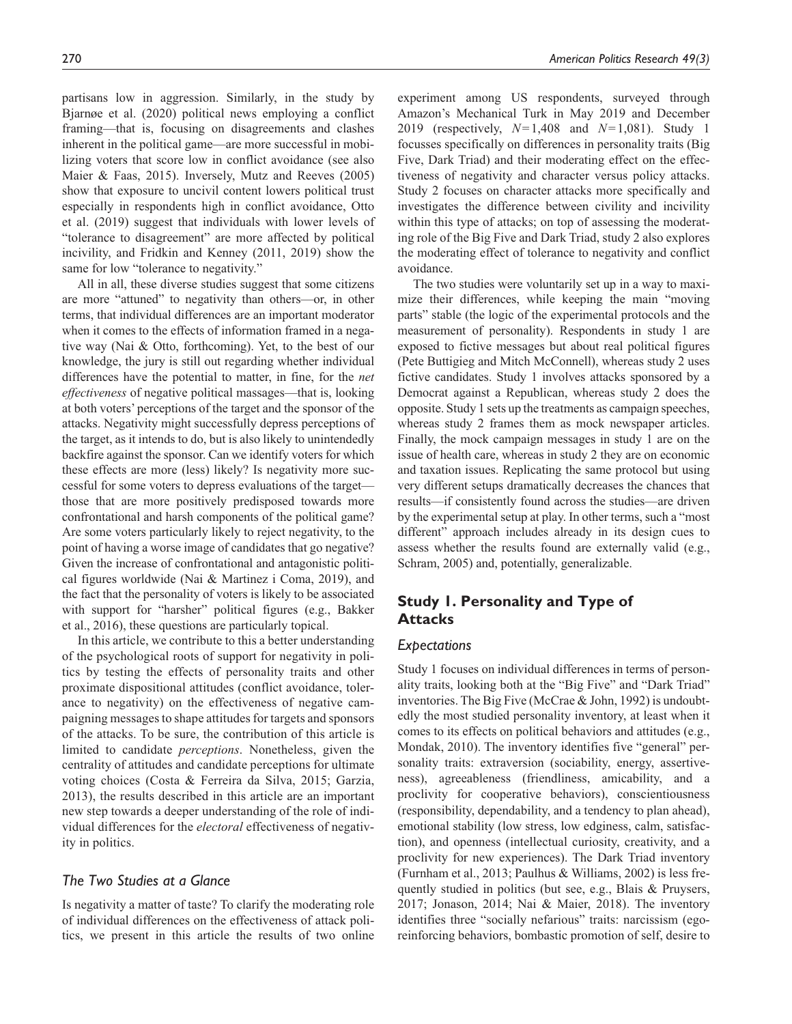partisans low in aggression. Similarly, in the study by Bjarnøe et al. (2020) political news employing a conflict framing—that is, focusing on disagreements and clashes inherent in the political game—are more successful in mobilizing voters that score low in conflict avoidance (see also Maier & Faas, 2015). Inversely, Mutz and Reeves (2005) show that exposure to uncivil content lowers political trust especially in respondents high in conflict avoidance, Otto et al. (2019) suggest that individuals with lower levels of "tolerance to disagreement" are more affected by political incivility, and Fridkin and Kenney (2011, 2019) show the same for low "tolerance to negativity."

All in all, these diverse studies suggest that some citizens are more "attuned" to negativity than others—or, in other terms, that individual differences are an important moderator when it comes to the effects of information framed in a negative way (Nai & Otto, forthcoming). Yet, to the best of our knowledge, the jury is still out regarding whether individual differences have the potential to matter, in fine, for the *net effectiveness* of negative political massages—that is, looking at both voters' perceptions of the target and the sponsor of the attacks. Negativity might successfully depress perceptions of the target, as it intends to do, but is also likely to unintendedly backfire against the sponsor. Can we identify voters for which these effects are more (less) likely? Is negativity more successful for some voters to depress evaluations of the target those that are more positively predisposed towards more confrontational and harsh components of the political game? Are some voters particularly likely to reject negativity, to the point of having a worse image of candidates that go negative? Given the increase of confrontational and antagonistic political figures worldwide (Nai & Martinez i Coma, 2019), and the fact that the personality of voters is likely to be associated with support for "harsher" political figures (e.g., Bakker et al., 2016), these questions are particularly topical.

In this article, we contribute to this a better understanding of the psychological roots of support for negativity in politics by testing the effects of personality traits and other proximate dispositional attitudes (conflict avoidance, tolerance to negativity) on the effectiveness of negative campaigning messages to shape attitudes for targets and sponsors of the attacks. To be sure, the contribution of this article is limited to candidate *perceptions*. Nonetheless, given the centrality of attitudes and candidate perceptions for ultimate voting choices (Costa & Ferreira da Silva, 2015; Garzia, 2013), the results described in this article are an important new step towards a deeper understanding of the role of individual differences for the *electoral* effectiveness of negativity in politics.

## *The Two Studies at a Glance*

Is negativity a matter of taste? To clarify the moderating role of individual differences on the effectiveness of attack politics, we present in this article the results of two online

experiment among US respondents, surveyed through Amazon's Mechanical Turk in May 2019 and December 2019 (respectively, *N*=1,408 and *N*=1,081). Study 1 focusses specifically on differences in personality traits (Big Five, Dark Triad) and their moderating effect on the effectiveness of negativity and character versus policy attacks. Study 2 focuses on character attacks more specifically and investigates the difference between civility and incivility within this type of attacks; on top of assessing the moderating role of the Big Five and Dark Triad, study 2 also explores the moderating effect of tolerance to negativity and conflict avoidance.

The two studies were voluntarily set up in a way to maximize their differences, while keeping the main "moving parts" stable (the logic of the experimental protocols and the measurement of personality). Respondents in study 1 are exposed to fictive messages but about real political figures (Pete Buttigieg and Mitch McConnell), whereas study 2 uses fictive candidates. Study 1 involves attacks sponsored by a Democrat against a Republican, whereas study 2 does the opposite. Study 1 sets up the treatments as campaign speeches, whereas study 2 frames them as mock newspaper articles. Finally, the mock campaign messages in study 1 are on the issue of health care, whereas in study 2 they are on economic and taxation issues. Replicating the same protocol but using very different setups dramatically decreases the chances that results—if consistently found across the studies—are driven by the experimental setup at play. In other terms, such a "most different" approach includes already in its design cues to assess whether the results found are externally valid (e.g., Schram, 2005) and, potentially, generalizable.

# **Study 1. Personality and Type of Attacks**

## *Expectations*

Study 1 focuses on individual differences in terms of personality traits, looking both at the "Big Five" and "Dark Triad" inventories. The Big Five (McCrae & John, 1992) is undoubtedly the most studied personality inventory, at least when it comes to its effects on political behaviors and attitudes (e.g., Mondak, 2010). The inventory identifies five "general" personality traits: extraversion (sociability, energy, assertiveness), agreeableness (friendliness, amicability, and a proclivity for cooperative behaviors), conscientiousness (responsibility, dependability, and a tendency to plan ahead), emotional stability (low stress, low edginess, calm, satisfaction), and openness (intellectual curiosity, creativity, and a proclivity for new experiences). The Dark Triad inventory (Furnham et al., 2013; Paulhus & Williams, 2002) is less frequently studied in politics (but see, e.g., Blais & Pruysers, 2017; Jonason, 2014; Nai & Maier, 2018). The inventory identifies three "socially nefarious" traits: narcissism (egoreinforcing behaviors, bombastic promotion of self, desire to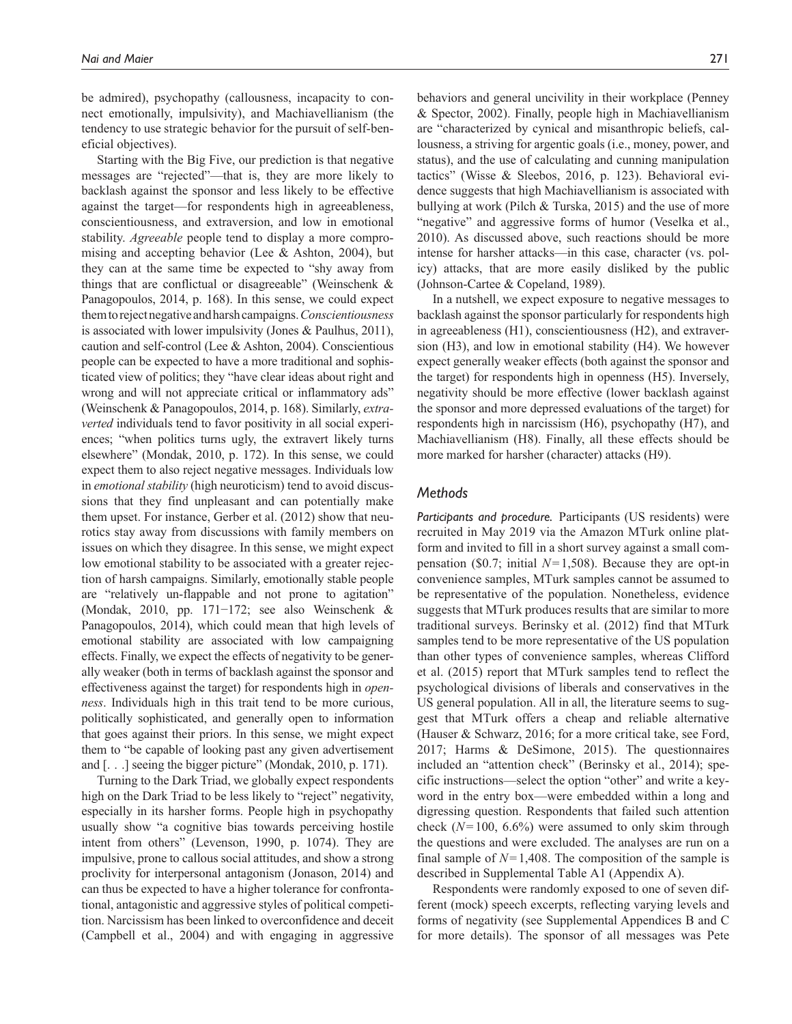be admired), psychopathy (callousness, incapacity to connect emotionally, impulsivity), and Machiavellianism (the tendency to use strategic behavior for the pursuit of self-beneficial objectives).

Starting with the Big Five, our prediction is that negative messages are "rejected"—that is, they are more likely to backlash against the sponsor and less likely to be effective against the target—for respondents high in agreeableness, conscientiousness, and extraversion, and low in emotional stability. *Agreeable* people tend to display a more compromising and accepting behavior (Lee & Ashton, 2004), but they can at the same time be expected to "shy away from things that are conflictual or disagreeable" (Weinschenk & Panagopoulos, 2014, p. 168). In this sense, we could expect them to reject negative and harsh campaigns. *Conscientiousness* is associated with lower impulsivity (Jones & Paulhus, 2011), caution and self-control (Lee & Ashton, 2004). Conscientious people can be expected to have a more traditional and sophisticated view of politics; they "have clear ideas about right and wrong and will not appreciate critical or inflammatory ads" (Weinschenk & Panagopoulos, 2014, p. 168). Similarly, *extraverted* individuals tend to favor positivity in all social experiences; "when politics turns ugly, the extravert likely turns elsewhere" (Mondak, 2010, p. 172). In this sense, we could expect them to also reject negative messages. Individuals low in *emotional stability* (high neuroticism) tend to avoid discussions that they find unpleasant and can potentially make them upset. For instance, Gerber et al. (2012) show that neurotics stay away from discussions with family members on issues on which they disagree. In this sense, we might expect low emotional stability to be associated with a greater rejection of harsh campaigns. Similarly, emotionally stable people are "relatively un-flappable and not prone to agitation" (Mondak, 2010, pp. 171−172; see also Weinschenk & Panagopoulos, 2014), which could mean that high levels of emotional stability are associated with low campaigning effects. Finally, we expect the effects of negativity to be generally weaker (both in terms of backlash against the sponsor and effectiveness against the target) for respondents high in *openness*. Individuals high in this trait tend to be more curious, politically sophisticated, and generally open to information that goes against their priors. In this sense, we might expect them to "be capable of looking past any given advertisement and [. . .] seeing the bigger picture" (Mondak, 2010, p. 171).

Turning to the Dark Triad, we globally expect respondents high on the Dark Triad to be less likely to "reject" negativity, especially in its harsher forms. People high in psychopathy usually show "a cognitive bias towards perceiving hostile intent from others" (Levenson, 1990, p. 1074). They are impulsive, prone to callous social attitudes, and show a strong proclivity for interpersonal antagonism (Jonason, 2014) and can thus be expected to have a higher tolerance for confrontational, antagonistic and aggressive styles of political competition. Narcissism has been linked to overconfidence and deceit (Campbell et al., 2004) and with engaging in aggressive behaviors and general uncivility in their workplace (Penney & Spector, 2002). Finally, people high in Machiavellianism are "characterized by cynical and misanthropic beliefs, callousness, a striving for argentic goals (i.e., money, power, and status), and the use of calculating and cunning manipulation tactics" (Wisse & Sleebos, 2016, p. 123). Behavioral evidence suggests that high Machiavellianism is associated with bullying at work (Pilch & Turska, 2015) and the use of more "negative" and aggressive forms of humor (Veselka et al., 2010). As discussed above, such reactions should be more intense for harsher attacks—in this case, character (vs. policy) attacks, that are more easily disliked by the public (Johnson-Cartee & Copeland, 1989).

In a nutshell, we expect exposure to negative messages to backlash against the sponsor particularly for respondents high in agreeableness (H1), conscientiousness (H2), and extraversion (H3), and low in emotional stability (H4). We however expect generally weaker effects (both against the sponsor and the target) for respondents high in openness (H5). Inversely, negativity should be more effective (lower backlash against the sponsor and more depressed evaluations of the target) for respondents high in narcissism (H6), psychopathy (H7), and Machiavellianism (H8). Finally, all these effects should be more marked for harsher (character) attacks (H9).

## *Methods*

*Participants and procedure.* Participants (US residents) were recruited in May 2019 via the Amazon MTurk online platform and invited to fill in a short survey against a small compensation (\$0.7; initial  $N=1,508$ ). Because they are opt-in convenience samples, MTurk samples cannot be assumed to be representative of the population. Nonetheless, evidence suggests that MTurk produces results that are similar to more traditional surveys. Berinsky et al. (2012) find that MTurk samples tend to be more representative of the US population than other types of convenience samples, whereas Clifford et al. (2015) report that MTurk samples tend to reflect the psychological divisions of liberals and conservatives in the US general population. All in all, the literature seems to suggest that MTurk offers a cheap and reliable alternative (Hauser & Schwarz, 2016; for a more critical take, see Ford, 2017; Harms & DeSimone, 2015). The questionnaires included an "attention check" (Berinsky et al., 2014); specific instructions—select the option "other" and write a keyword in the entry box—were embedded within a long and digressing question. Respondents that failed such attention check (*N*=100, 6.6%) were assumed to only skim through the questions and were excluded. The analyses are run on a final sample of  $N=1,408$ . The composition of the sample is described in Supplemental Table A1 (Appendix A).

Respondents were randomly exposed to one of seven different (mock) speech excerpts, reflecting varying levels and forms of negativity (see Supplemental Appendices B and C for more details). The sponsor of all messages was Pete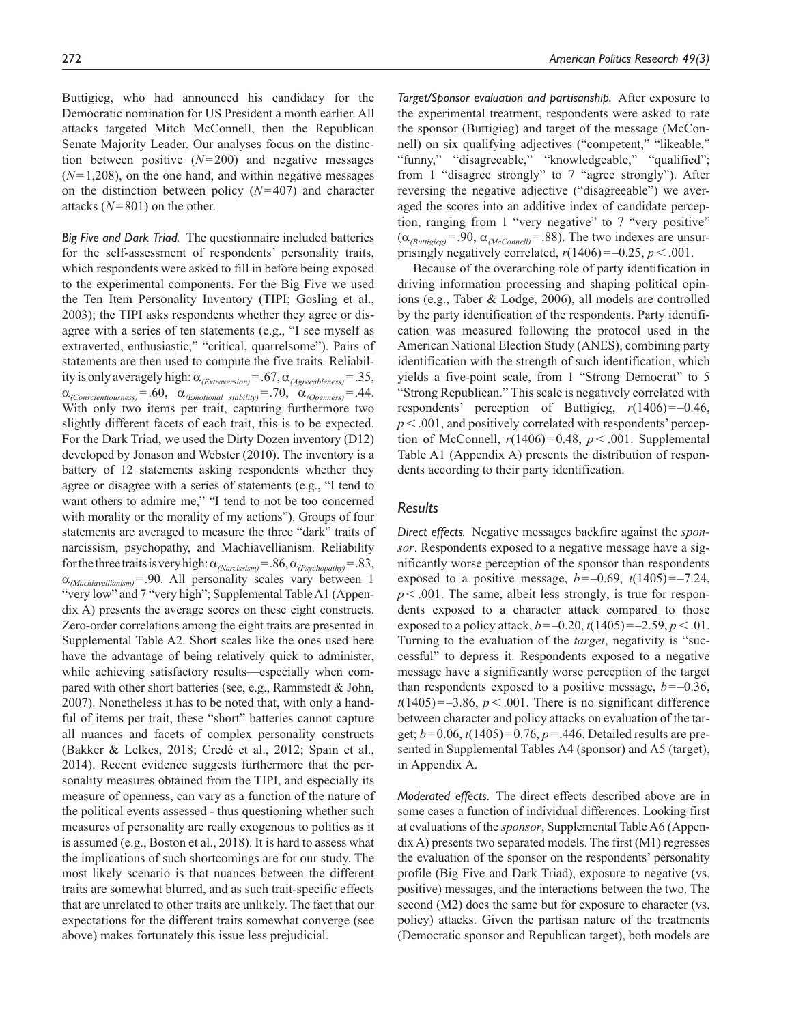Buttigieg, who had announced his candidacy for the Democratic nomination for US President a month earlier. All attacks targeted Mitch McConnell, then the Republican Senate Majority Leader. Our analyses focus on the distinction between positive (*N*=200) and negative messages  $(N=1,208)$ , on the one hand, and within negative messages on the distinction between policy (*N*=407) and character attacks (*N*=801) on the other.

*Big Five and Dark Triad.* The questionnaire included batteries for the self-assessment of respondents' personality traits, which respondents were asked to fill in before being exposed to the experimental components. For the Big Five we used the Ten Item Personality Inventory (TIPI; Gosling et al., 2003); the TIPI asks respondents whether they agree or disagree with a series of ten statements (e.g., "I see myself as extraverted, enthusiastic," "critical, quarrelsome"). Pairs of statements are then used to compute the five traits. Reliability is only averagely high:  $\alpha_{(Extraversion)} = .67$ ,  $\alpha_{(Agreenbeness)} = .35$ ,  $\alpha_{(Conscientiousness)} = .60, \quad \alpha_{(Emotional stability)} = .70, \quad \alpha_{(Openness)} = .44.$ With only two items per trait, capturing furthermore two slightly different facets of each trait, this is to be expected. For the Dark Triad, we used the Dirty Dozen inventory (D12) developed by Jonason and Webster (2010). The inventory is a battery of 12 statements asking respondents whether they agree or disagree with a series of statements (e.g., "I tend to want others to admire me," "I tend to not be too concerned with morality or the morality of my actions"). Groups of four statements are averaged to measure the three "dark" traits of narcissism, psychopathy, and Machiavellianism. Reliability for the three traits is very high: α*(Narcissism)*=.86, α*(Psychopathy)*=.83, α*(Machiavellianism)*=.90. All personality scales vary between 1 "very low" and 7 "very high"; Supplemental Table A1 (Appendix A) presents the average scores on these eight constructs. Zero-order correlations among the eight traits are presented in Supplemental Table A2. Short scales like the ones used here have the advantage of being relatively quick to administer, while achieving satisfactory results—especially when compared with other short batteries (see, e.g., Rammstedt & John, 2007). Nonetheless it has to be noted that, with only a handful of items per trait, these "short" batteries cannot capture all nuances and facets of complex personality constructs (Bakker & Lelkes, 2018; Credé et al., 2012; Spain et al., 2014). Recent evidence suggests furthermore that the personality measures obtained from the TIPI, and especially its measure of openness, can vary as a function of the nature of the political events assessed - thus questioning whether such measures of personality are really exogenous to politics as it is assumed (e.g., Boston et al., 2018). It is hard to assess what the implications of such shortcomings are for our study. The most likely scenario is that nuances between the different traits are somewhat blurred, and as such trait-specific effects that are unrelated to other traits are unlikely. The fact that our expectations for the different traits somewhat converge (see above) makes fortunately this issue less prejudicial.

*Target/Sponsor evaluation and partisanship.* After exposure to the experimental treatment, respondents were asked to rate the sponsor (Buttigieg) and target of the message (McConnell) on six qualifying adjectives ("competent," "likeable," "funny," "disagreeable," "knowledgeable," "qualified"; from 1 "disagree strongly" to 7 "agree strongly"). After reversing the negative adjective ("disagreeable") we averaged the scores into an additive index of candidate perception, ranging from 1 "very negative" to 7 "very positive"  $(\alpha_{\beta\textrm{tuttigieg}})$  = .90,  $\alpha_{\textit{McConnell}}$  = .88). The two indexes are unsurprisingly negatively correlated,  $r(1406) = -0.25$ ,  $p < .001$ .

Because of the overarching role of party identification in driving information processing and shaping political opinions (e.g., Taber & Lodge, 2006), all models are controlled by the party identification of the respondents. Party identification was measured following the protocol used in the American National Election Study (ANES), combining party identification with the strength of such identification, which yields a five-point scale, from 1 "Strong Democrat" to 5 "Strong Republican." This scale is negatively correlated with respondents' perception of Buttigieg, *r*(1406)=–0.46,  $p<.001$ , and positively correlated with respondents' perception of McConnell,  $r(1406)=0.48$ ,  $p < .001$ . Supplemental Table A1 (Appendix A) presents the distribution of respondents according to their party identification.

#### *Results*

*Direct effects.* Negative messages backfire against the *sponsor*. Respondents exposed to a negative message have a significantly worse perception of the sponsor than respondents exposed to a positive message,  $b = -0.69$ ,  $t(1405) = -7.24$ ,  $p < .001$ . The same, albeit less strongly, is true for respondents exposed to a character attack compared to those exposed to a policy attack,  $b = -0.20$ ,  $t(1405) = -2.59$ ,  $p < .01$ . Turning to the evaluation of the *target*, negativity is "successful" to depress it. Respondents exposed to a negative message have a significantly worse perception of the target than respondents exposed to a positive message,  $b = -0.36$ ,  $t(1405) = -3.86$ ,  $p < .001$ . There is no significant difference between character and policy attacks on evaluation of the target;  $b=0.06$ ,  $t(1405)=0.76$ ,  $p=.446$ . Detailed results are presented in Supplemental Tables A4 (sponsor) and A5 (target), in Appendix A.

*Moderated effects.* The direct effects described above are in some cases a function of individual differences. Looking first at evaluations of the *sponsor*, Supplemental Table A6 (Appendix A) presents two separated models. The first (M1) regresses the evaluation of the sponsor on the respondents' personality profile (Big Five and Dark Triad), exposure to negative (vs. positive) messages, and the interactions between the two. The second (M2) does the same but for exposure to character (vs. policy) attacks. Given the partisan nature of the treatments (Democratic sponsor and Republican target), both models are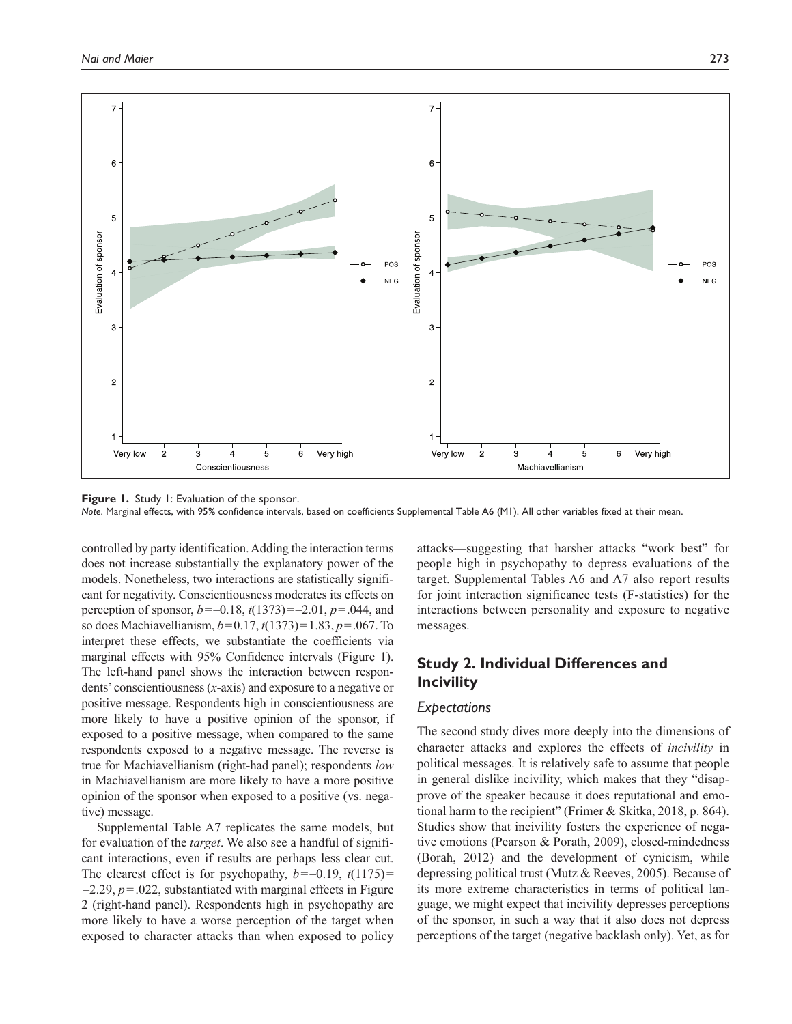

**Figure 1.** Study 1: Evaluation of the sponsor. *Note*. Marginal effects, with 95% confidence intervals, based on coefficients Supplemental Table A6 (M1). All other variables fixed at their mean.

controlled by party identification. Adding the interaction terms does not increase substantially the explanatory power of the models. Nonetheless, two interactions are statistically significant for negativity. Conscientiousness moderates its effects on perception of sponsor, *b*=–0.18, *t*(1373)=–2.01, *p*=.044, and so does Machiavellianism, *b*=0.17, *t*(1373)=1.83, *p*=.067. To interpret these effects, we substantiate the coefficients via marginal effects with 95% Confidence intervals (Figure 1). The left-hand panel shows the interaction between respondents' conscientiousness (*x*-axis) and exposure to a negative or positive message. Respondents high in conscientiousness are more likely to have a positive opinion of the sponsor, if exposed to a positive message, when compared to the same respondents exposed to a negative message. The reverse is true for Machiavellianism (right-had panel); respondents *low* in Machiavellianism are more likely to have a more positive opinion of the sponsor when exposed to a positive (vs. negative) message.

Supplemental Table A7 replicates the same models, but for evaluation of the *target*. We also see a handful of significant interactions, even if results are perhaps less clear cut. The clearest effect is for psychopathy,  $b = -0.19$ ,  $t(1175)$  $-2.29$ ,  $p = 0.022$ , substantiated with marginal effects in Figure 2 (right-hand panel). Respondents high in psychopathy are more likely to have a worse perception of the target when exposed to character attacks than when exposed to policy

attacks—suggesting that harsher attacks "work best" for people high in psychopathy to depress evaluations of the target. Supplemental Tables A6 and A7 also report results for joint interaction significance tests (F-statistics) for the interactions between personality and exposure to negative messages.

# **Study 2. Individual Differences and Incivility**

#### *Expectations*

The second study dives more deeply into the dimensions of character attacks and explores the effects of *incivility* in political messages. It is relatively safe to assume that people in general dislike incivility, which makes that they "disapprove of the speaker because it does reputational and emotional harm to the recipient" (Frimer & Skitka, 2018, p. 864). Studies show that incivility fosters the experience of negative emotions (Pearson & Porath, 2009), closed-mindedness (Borah, 2012) and the development of cynicism, while depressing political trust (Mutz & Reeves, 2005). Because of its more extreme characteristics in terms of political language, we might expect that incivility depresses perceptions of the sponsor, in such a way that it also does not depress perceptions of the target (negative backlash only). Yet, as for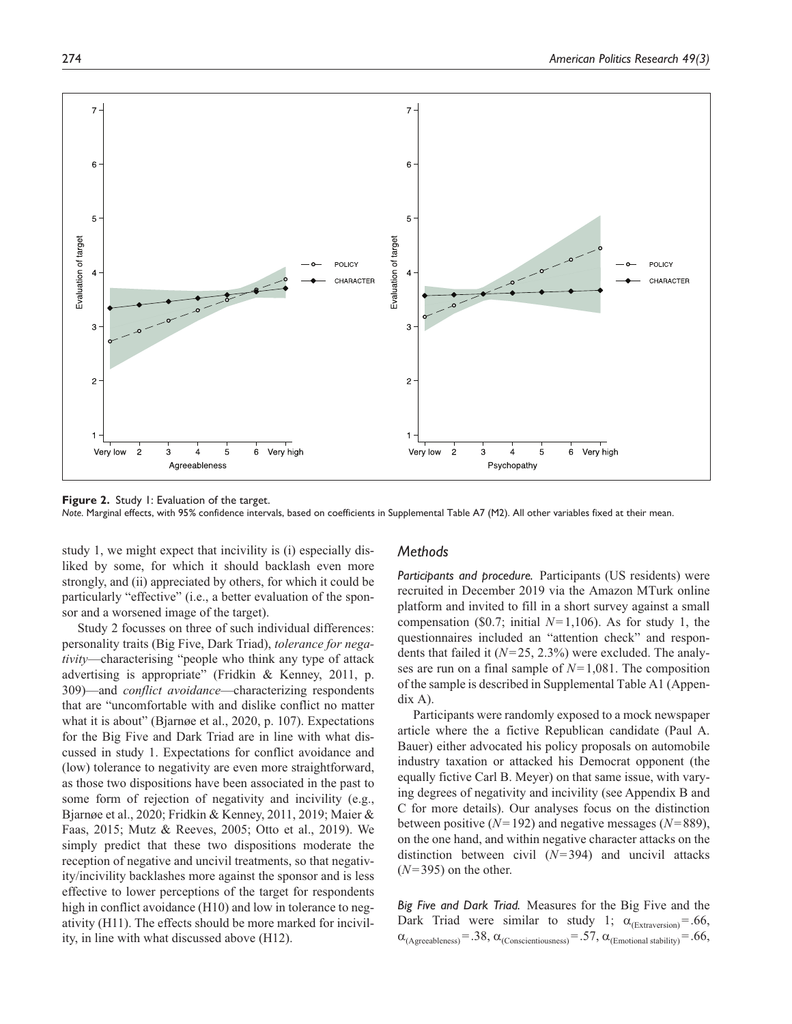

**Figure 2.** Study 1: Evaluation of the target. *Note*. Marginal effects, with 95% confidence intervals, based on coefficients in Supplemental Table A7 (M2). All other variables fixed at their mean.

study 1, we might expect that incivility is (i) especially disliked by some, for which it should backlash even more strongly, and (ii) appreciated by others, for which it could be particularly "effective" (i.e., a better evaluation of the sponsor and a worsened image of the target).

Study 2 focusses on three of such individual differences: personality traits (Big Five, Dark Triad), *tolerance for negativity*—characterising "people who think any type of attack advertising is appropriate" (Fridkin & Kenney, 2011, p. 309)—and *conflict avoidance*—characterizing respondents that are "uncomfortable with and dislike conflict no matter what it is about" (Bjarnøe et al., 2020, p. 107). Expectations for the Big Five and Dark Triad are in line with what discussed in study 1. Expectations for conflict avoidance and (low) tolerance to negativity are even more straightforward, as those two dispositions have been associated in the past to some form of rejection of negativity and incivility (e.g., Bjarnøe et al., 2020; Fridkin & Kenney, 2011, 2019; Maier & Faas, 2015; Mutz & Reeves, 2005; Otto et al., 2019). We simply predict that these two dispositions moderate the reception of negative and uncivil treatments, so that negativity/incivility backlashes more against the sponsor and is less effective to lower perceptions of the target for respondents high in conflict avoidance (H10) and low in tolerance to negativity (H11). The effects should be more marked for incivility, in line with what discussed above (H12).

#### *Methods*

*Participants and procedure.* Participants (US residents) were recruited in December 2019 via the Amazon MTurk online platform and invited to fill in a short survey against a small compensation (\$0.7; initial *N*=1,106). As for study 1, the questionnaires included an "attention check" and respondents that failed it (*N*=25, 2.3%) were excluded. The analyses are run on a final sample of *N*=1,081. The composition of the sample is described in Supplemental Table A1 (Appendix A).

Participants were randomly exposed to a mock newspaper article where the a fictive Republican candidate (Paul A. Bauer) either advocated his policy proposals on automobile industry taxation or attacked his Democrat opponent (the equally fictive Carl B. Meyer) on that same issue, with varying degrees of negativity and incivility (see Appendix B and C for more details). Our analyses focus on the distinction between positive (*N*=192) and negative messages (*N*=889), on the one hand, and within negative character attacks on the distinction between civil (*N*=394) and uncivil attacks (*N*=395) on the other.

*Big Five and Dark Triad.* Measures for the Big Five and the Dark Triad were similar to study 1;  $\alpha_{(Extaversion)} = .66$ ,  $\alpha_{(Agreableness)} = .38$ ,  $\alpha_{(Conscientiousness)} = .57$ ,  $\alpha_{(Emotional stability)} = .66$ ,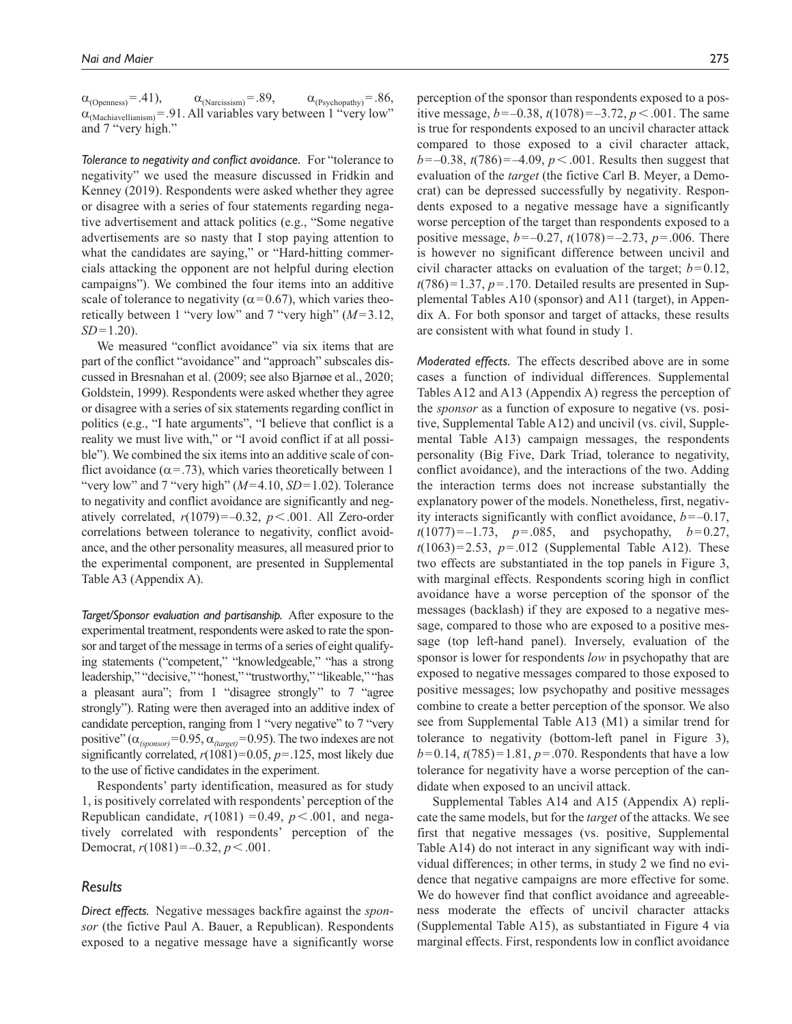$\alpha_{(\text{Openness})} = .41$ ,  $\alpha_{(\text{Narcissism})} = .89$ ,  $\alpha_{(\text{Psychopathy})} = .86$ ,  $\alpha_{(Machiavellianism)} = .91$ . All variables vary between 1 "very low" and 7 "very high."

*Tolerance to negativity and conflict avoidance.* For "tolerance to negativity" we used the measure discussed in Fridkin and Kenney (2019). Respondents were asked whether they agree or disagree with a series of four statements regarding negative advertisement and attack politics (e.g., "Some negative advertisements are so nasty that I stop paying attention to what the candidates are saying," or "Hard-hitting commercials attacking the opponent are not helpful during election campaigns"). We combined the four items into an additive scale of tolerance to negativity ( $\alpha$ =0.67), which varies theoretically between 1 "very low" and 7 "very high" (*M*=3.12, *SD*=1.20).

We measured "conflict avoidance" via six items that are part of the conflict "avoidance" and "approach" subscales discussed in Bresnahan et al. (2009; see also Bjarnøe et al., 2020; Goldstein, 1999). Respondents were asked whether they agree or disagree with a series of six statements regarding conflict in politics (e.g., "I hate arguments", "I believe that conflict is a reality we must live with," or "I avoid conflict if at all possible"). We combined the six items into an additive scale of conflict avoidance ( $\alpha$ =.73), which varies theoretically between 1 "very low" and 7 "very high" (*M*=4.10, *SD*=1.02). Tolerance to negativity and conflict avoidance are significantly and negatively correlated,  $r(1079) = -0.32$ ,  $p < .001$ . All Zero-order correlations between tolerance to negativity, conflict avoidance, and the other personality measures, all measured prior to the experimental component, are presented in Supplemental Table A3 (Appendix A).

*Target/Sponsor evaluation and partisanship.* After exposure to the experimental treatment, respondents were asked to rate the sponsor and target of the message in terms of a series of eight qualifying statements ("competent," "knowledgeable," "has a strong leadership," "decisive," "honest," "trustworthy," "likeable," "has a pleasant aura"; from 1 "disagree strongly" to 7 "agree strongly"). Rating were then averaged into an additive index of candidate perception, ranging from 1 "very negative" to 7 "very positive" ( $\alpha_{\text{\tiny{(sponsor)}}}=0.95$ ,  $\alpha_{\text{\tiny{(target)}}}=0.95$ ). The two indexes are not significantly correlated, *r*(1081)=0.05, *p*=.125, most likely due to the use of fictive candidates in the experiment.

Respondents' party identification, measured as for study 1, is positively correlated with respondents' perception of the Republican candidate,  $r(1081) = 0.49$ ,  $p < .001$ , and negatively correlated with respondents' perception of the Democrat, *r*(1081)=–0.32, *p*<.001.

## *Results*

*Direct effects.* Negative messages backfire against the *sponsor* (the fictive Paul A. Bauer, a Republican). Respondents exposed to a negative message have a significantly worse perception of the sponsor than respondents exposed to a positive message,  $b = -0.38$ ,  $t(1078) = -3.72$ ,  $p < .001$ . The same is true for respondents exposed to an uncivil character attack compared to those exposed to a civil character attack,  $b = -0.38$ ,  $t(786) = -4.09$ ,  $p < .001$ . Results then suggest that evaluation of the *target* (the fictive Carl B. Meyer, a Democrat) can be depressed successfully by negativity. Respondents exposed to a negative message have a significantly worse perception of the target than respondents exposed to a positive message, *b*=–0.27, *t*(1078)=–2.73, *p*=.006. There is however no significant difference between uncivil and civil character attacks on evaluation of the target;  $b=0.12$ ,  $t(786)=1.37, p=.170$ . Detailed results are presented in Supplemental Tables A10 (sponsor) and A11 (target), in Appendix A. For both sponsor and target of attacks, these results are consistent with what found in study 1.

*Moderated effects.* The effects described above are in some cases a function of individual differences. Supplemental Tables A12 and A13 (Appendix A) regress the perception of the *sponsor* as a function of exposure to negative (vs. positive, Supplemental Table A12) and uncivil (vs. civil, Supplemental Table A13) campaign messages, the respondents personality (Big Five, Dark Triad, tolerance to negativity, conflict avoidance), and the interactions of the two. Adding the interaction terms does not increase substantially the explanatory power of the models. Nonetheless, first, negativity interacts significantly with conflict avoidance,  $b = -0.17$ ,  $t(1077) = -1.73$ ,  $p = .085$ , and psychopathy,  $b = 0.27$ ,  $t(1063)=2.53$ ,  $p=.012$  (Supplemental Table A12). These two effects are substantiated in the top panels in Figure 3, with marginal effects. Respondents scoring high in conflict avoidance have a worse perception of the sponsor of the messages (backlash) if they are exposed to a negative message, compared to those who are exposed to a positive message (top left-hand panel). Inversely, evaluation of the sponsor is lower for respondents *low* in psychopathy that are exposed to negative messages compared to those exposed to positive messages; low psychopathy and positive messages combine to create a better perception of the sponsor. We also see from Supplemental Table A13 (M1) a similar trend for tolerance to negativity (bottom-left panel in Figure 3),  $b=0.14$ ,  $t(785)=1.81$ ,  $p=.070$ . Respondents that have a low tolerance for negativity have a worse perception of the candidate when exposed to an uncivil attack.

Supplemental Tables A14 and A15 (Appendix A) replicate the same models, but for the *target* of the attacks. We see first that negative messages (vs. positive, Supplemental Table A14) do not interact in any significant way with individual differences; in other terms, in study 2 we find no evidence that negative campaigns are more effective for some. We do however find that conflict avoidance and agreeableness moderate the effects of uncivil character attacks (Supplemental Table A15), as substantiated in Figure 4 via marginal effects. First, respondents low in conflict avoidance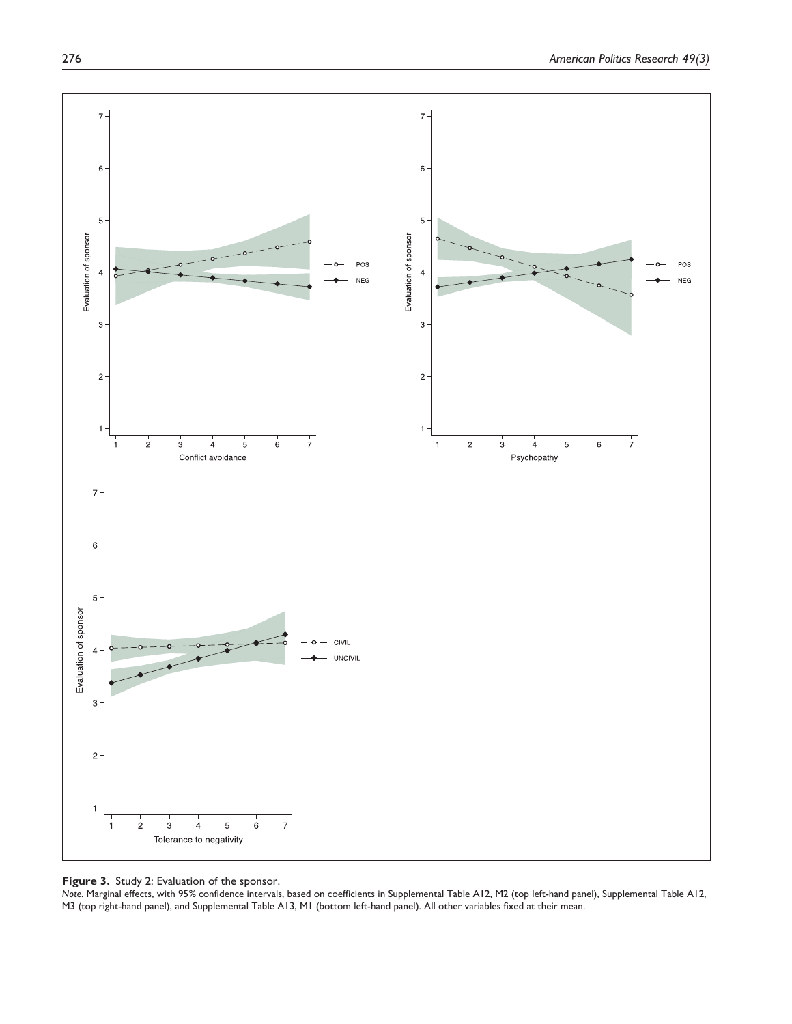

**Figure 3.** Study 2: Evaluation of the sponsor.

*Note*. Marginal effects, with 95% confidence intervals, based on coefficients in Supplemental Table A12, M2 (top left-hand panel), Supplemental Table A12, M3 (top right-hand panel), and Supplemental Table A13, M1 (bottom left-hand panel). All other variables fixed at their mean.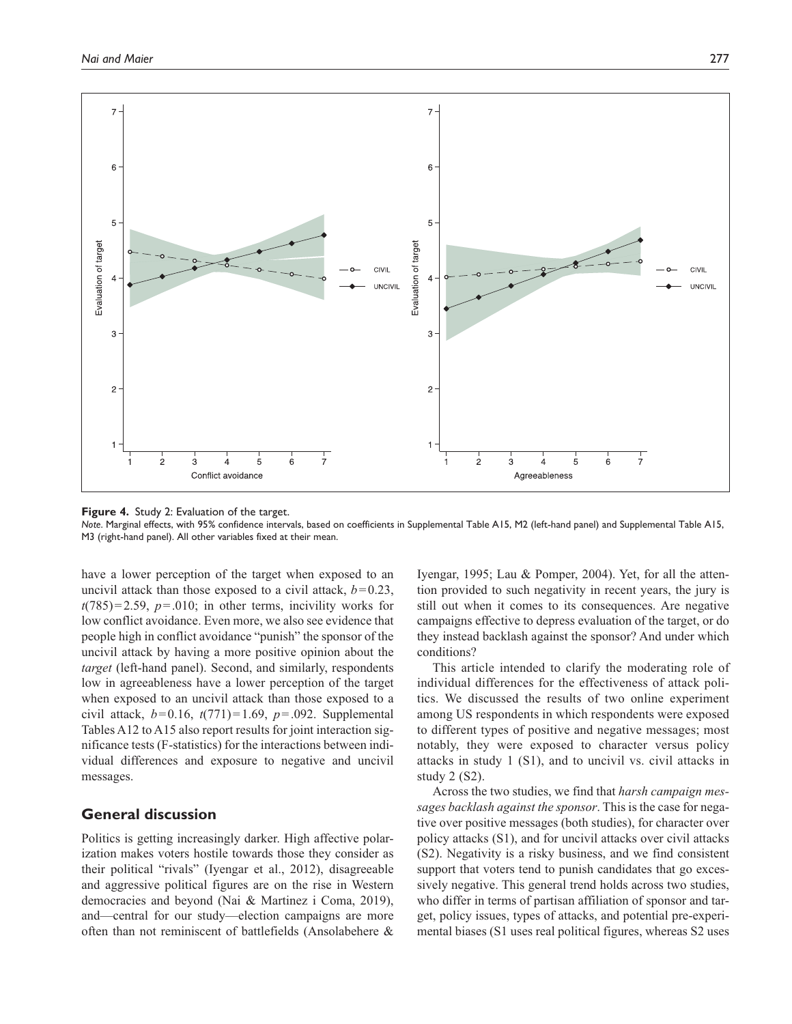

**Figure 4.** Study 2: Evaluation of the target.

*Note*. Marginal effects, with 95% confidence intervals, based on coefficients in Supplemental Table A15, M2 (left-hand panel) and Supplemental Table A15, M3 (right-hand panel). All other variables fixed at their mean.

have a lower perception of the target when exposed to an uncivil attack than those exposed to a civil attack,  $b=0.23$ ,  $t(785)=2.59$ ,  $p=.010$ ; in other terms, incivility works for low conflict avoidance. Even more, we also see evidence that people high in conflict avoidance "punish" the sponsor of the uncivil attack by having a more positive opinion about the *target* (left-hand panel). Second, and similarly, respondents low in agreeableness have a lower perception of the target when exposed to an uncivil attack than those exposed to a civil attack, *b*=0.16, *t*(771)=1.69, *p*=.092. Supplemental Tables A12 to A15 also report results for joint interaction significance tests (F-statistics) for the interactions between individual differences and exposure to negative and uncivil messages.

# **General discussion**

Politics is getting increasingly darker. High affective polarization makes voters hostile towards those they consider as their political "rivals" (Iyengar et al., 2012), disagreeable and aggressive political figures are on the rise in Western democracies and beyond (Nai & Martinez i Coma, 2019), and—central for our study—election campaigns are more often than not reminiscent of battlefields (Ansolabehere &

Iyengar, 1995; Lau & Pomper, 2004). Yet, for all the attention provided to such negativity in recent years, the jury is still out when it comes to its consequences. Are negative campaigns effective to depress evaluation of the target, or do they instead backlash against the sponsor? And under which conditions?

This article intended to clarify the moderating role of individual differences for the effectiveness of attack politics. We discussed the results of two online experiment among US respondents in which respondents were exposed to different types of positive and negative messages; most notably, they were exposed to character versus policy attacks in study 1 (S1), and to uncivil vs. civil attacks in study 2 (S2).

Across the two studies, we find that *harsh campaign messages backlash against the sponsor*. This is the case for negative over positive messages (both studies), for character over policy attacks (S1), and for uncivil attacks over civil attacks (S2). Negativity is a risky business, and we find consistent support that voters tend to punish candidates that go excessively negative. This general trend holds across two studies, who differ in terms of partisan affiliation of sponsor and target, policy issues, types of attacks, and potential pre-experimental biases (S1 uses real political figures, whereas S2 uses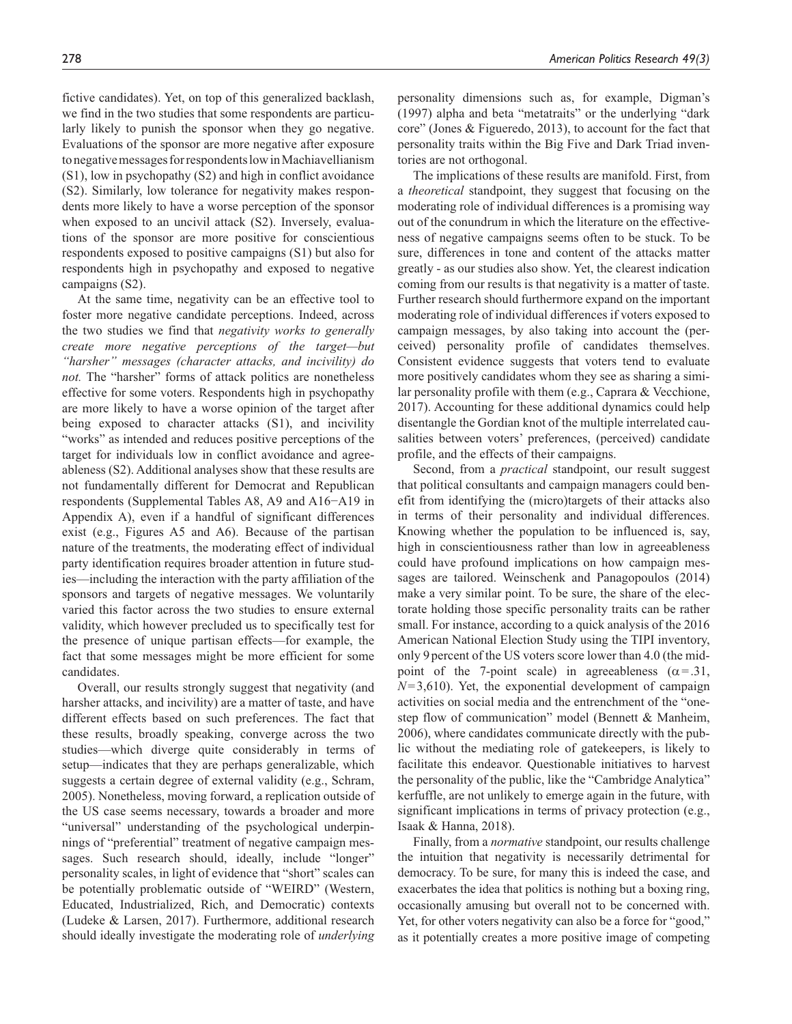fictive candidates). Yet, on top of this generalized backlash, we find in the two studies that some respondents are particularly likely to punish the sponsor when they go negative. Evaluations of the sponsor are more negative after exposure to negative messages for respondents low in Machiavellianism (S1), low in psychopathy (S2) and high in conflict avoidance (S2). Similarly, low tolerance for negativity makes respondents more likely to have a worse perception of the sponsor when exposed to an uncivil attack (S2). Inversely, evaluations of the sponsor are more positive for conscientious respondents exposed to positive campaigns (S1) but also for respondents high in psychopathy and exposed to negative campaigns (S2).

At the same time, negativity can be an effective tool to foster more negative candidate perceptions. Indeed, across the two studies we find that *negativity works to generally create more negative perceptions of the target—but "harsher" messages (character attacks, and incivility) do not.* The "harsher" forms of attack politics are nonetheless effective for some voters. Respondents high in psychopathy are more likely to have a worse opinion of the target after being exposed to character attacks (S1), and incivility "works" as intended and reduces positive perceptions of the target for individuals low in conflict avoidance and agreeableness (S2). Additional analyses show that these results are not fundamentally different for Democrat and Republican respondents (Supplemental Tables A8, A9 and A16−A19 in Appendix A), even if a handful of significant differences exist (e.g., Figures A5 and A6). Because of the partisan nature of the treatments, the moderating effect of individual party identification requires broader attention in future studies—including the interaction with the party affiliation of the sponsors and targets of negative messages. We voluntarily varied this factor across the two studies to ensure external validity, which however precluded us to specifically test for the presence of unique partisan effects—for example, the fact that some messages might be more efficient for some candidates.

Overall, our results strongly suggest that negativity (and harsher attacks, and incivility) are a matter of taste, and have different effects based on such preferences. The fact that these results, broadly speaking, converge across the two studies—which diverge quite considerably in terms of setup—indicates that they are perhaps generalizable, which suggests a certain degree of external validity (e.g., Schram, 2005). Nonetheless, moving forward, a replication outside of the US case seems necessary, towards a broader and more "universal" understanding of the psychological underpinnings of "preferential" treatment of negative campaign messages. Such research should, ideally, include "longer" personality scales, in light of evidence that "short" scales can be potentially problematic outside of "WEIRD" (Western, Educated, Industrialized, Rich, and Democratic) contexts (Ludeke & Larsen, 2017). Furthermore, additional research should ideally investigate the moderating role of *underlying*

personality dimensions such as, for example, Digman's (1997) alpha and beta "metatraits" or the underlying "dark core" (Jones & Figueredo, 2013), to account for the fact that personality traits within the Big Five and Dark Triad inventories are not orthogonal.

The implications of these results are manifold. First, from a *theoretical* standpoint, they suggest that focusing on the moderating role of individual differences is a promising way out of the conundrum in which the literature on the effectiveness of negative campaigns seems often to be stuck. To be sure, differences in tone and content of the attacks matter greatly - as our studies also show. Yet, the clearest indication coming from our results is that negativity is a matter of taste. Further research should furthermore expand on the important moderating role of individual differences if voters exposed to campaign messages, by also taking into account the (perceived) personality profile of candidates themselves. Consistent evidence suggests that voters tend to evaluate more positively candidates whom they see as sharing a similar personality profile with them (e.g., Caprara & Vecchione, 2017). Accounting for these additional dynamics could help disentangle the Gordian knot of the multiple interrelated causalities between voters' preferences, (perceived) candidate profile, and the effects of their campaigns.

Second, from a *practical* standpoint, our result suggest that political consultants and campaign managers could benefit from identifying the (micro)targets of their attacks also in terms of their personality and individual differences. Knowing whether the population to be influenced is, say, high in conscientiousness rather than low in agreeableness could have profound implications on how campaign messages are tailored. Weinschenk and Panagopoulos (2014) make a very similar point. To be sure, the share of the electorate holding those specific personality traits can be rather small. For instance, according to a quick analysis of the 2016 American National Election Study using the TIPI inventory, only 9percent of the US voters score lower than 4.0 (the midpoint of the 7-point scale) in agreeableness  $(\alpha = .31, )$  $N=3,610$ . Yet, the exponential development of campaign activities on social media and the entrenchment of the "onestep flow of communication" model (Bennett & Manheim, 2006), where candidates communicate directly with the public without the mediating role of gatekeepers, is likely to facilitate this endeavor. Questionable initiatives to harvest the personality of the public, like the "Cambridge Analytica" kerfuffle, are not unlikely to emerge again in the future, with significant implications in terms of privacy protection (e.g., Isaak & Hanna, 2018).

Finally, from a *normative* standpoint, our results challenge the intuition that negativity is necessarily detrimental for democracy. To be sure, for many this is indeed the case, and exacerbates the idea that politics is nothing but a boxing ring, occasionally amusing but overall not to be concerned with. Yet, for other voters negativity can also be a force for "good," as it potentially creates a more positive image of competing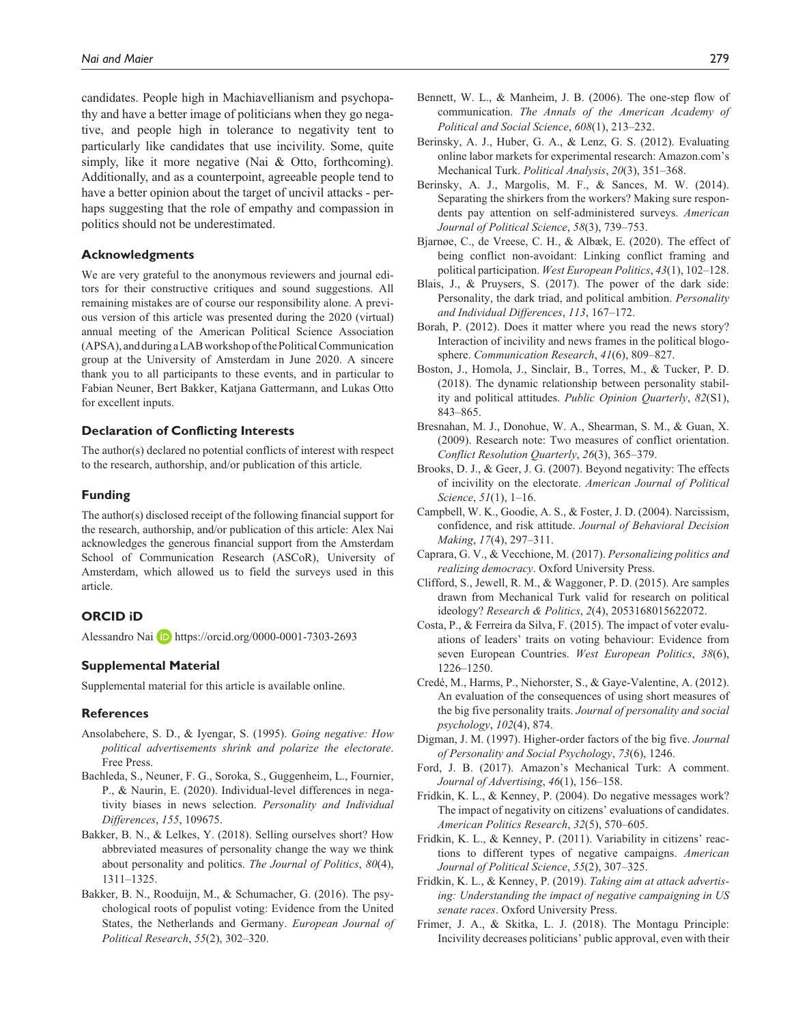candidates. People high in Machiavellianism and psychopathy and have a better image of politicians when they go negative, and people high in tolerance to negativity tent to particularly like candidates that use incivility. Some, quite simply, like it more negative (Nai & Otto, forthcoming). Additionally, and as a counterpoint, agreeable people tend to have a better opinion about the target of uncivil attacks - perhaps suggesting that the role of empathy and compassion in politics should not be underestimated.

#### **Acknowledgments**

We are very grateful to the anonymous reviewers and journal editors for their constructive critiques and sound suggestions. All remaining mistakes are of course our responsibility alone. A previous version of this article was presented during the 2020 (virtual) annual meeting of the American Political Science Association (APSA), and during a LAB workshop of the Political Communication group at the University of Amsterdam in June 2020. A sincere thank you to all participants to these events, and in particular to Fabian Neuner, Bert Bakker, Katjana Gattermann, and Lukas Otto for excellent inputs.

#### **Declaration of Conflicting Interests**

The author(s) declared no potential conflicts of interest with respect to the research, authorship, and/or publication of this article.

#### **Funding**

The author(s) disclosed receipt of the following financial support for the research, authorship, and/or publication of this article: Alex Nai acknowledges the generous financial support from the Amsterdam School of Communication Research (ASCoR), University of Amsterdam, which allowed us to field the surveys used in this article.

#### **ORCID iD**

Alessandro Nai D <https://orcid.org/0000-0001-7303-2693>

#### **Supplemental Material**

Supplemental material for this article is available online.

#### **References**

- Ansolabehere, S. D., & Iyengar, S. (1995). *Going negative: How political advertisements shrink and polarize the electorate*. Free Press.
- Bachleda, S., Neuner, F. G., Soroka, S., Guggenheim, L., Fournier, P., & Naurin, E. (2020). Individual-level differences in negativity biases in news selection. *Personality and Individual Differences*, *155*, 109675.
- Bakker, B. N., & Lelkes, Y. (2018). Selling ourselves short? How abbreviated measures of personality change the way we think about personality and politics. *The Journal of Politics*, *80*(4), 1311–1325.
- Bakker, B. N., Rooduijn, M., & Schumacher, G. (2016). The psychological roots of populist voting: Evidence from the United States, the Netherlands and Germany. *European Journal of Political Research*, *55*(2), 302–320.
- Bennett, W. L., & Manheim, J. B. (2006). The one-step flow of communication. *The Annals of the American Academy of Political and Social Science*, *608*(1), 213–232.
- Berinsky, A. J., Huber, G. A., & Lenz, G. S. (2012). Evaluating online labor markets for experimental research: Amazon.com's Mechanical Turk. *Political Analysis*, *20*(3), 351–368.
- Berinsky, A. J., Margolis, M. F., & Sances, M. W. (2014). Separating the shirkers from the workers? Making sure respondents pay attention on self-administered surveys. *American Journal of Political Science*, *58*(3), 739–753.
- Bjarnøe, C., de Vreese, C. H., & Albæk, E. (2020). The effect of being conflict non-avoidant: Linking conflict framing and political participation. *West European Politics*, *43*(1), 102–128.
- Blais, J., & Pruysers, S. (2017). The power of the dark side: Personality, the dark triad, and political ambition. *Personality and Individual Differences*, *113*, 167–172.
- Borah, P. (2012). Does it matter where you read the news story? Interaction of incivility and news frames in the political blogosphere. *Communication Research*, *41*(6), 809–827.
- Boston, J., Homola, J., Sinclair, B., Torres, M., & Tucker, P. D. (2018). The dynamic relationship between personality stability and political attitudes. *Public Opinion Quarterly*, *82*(S1), 843–865.
- Bresnahan, M. J., Donohue, W. A., Shearman, S. M., & Guan, X. (2009). Research note: Two measures of conflict orientation. *Conflict Resolution Quarterly*, *26*(3), 365–379.
- Brooks, D. J., & Geer, J. G. (2007). Beyond negativity: The effects of incivility on the electorate. *American Journal of Political Science*, *51*(1), 1–16.
- Campbell, W. K., Goodie, A. S., & Foster, J. D. (2004). Narcissism, confidence, and risk attitude. *Journal of Behavioral Decision Making*, *17*(4), 297–311.
- Caprara, G. V., & Vecchione, M. (2017). *Personalizing politics and realizing democracy*. Oxford University Press.
- Clifford, S., Jewell, R. M., & Waggoner, P. D. (2015). Are samples drawn from Mechanical Turk valid for research on political ideology? *Research & Politics*, *2*(4), 2053168015622072.
- Costa, P., & Ferreira da Silva, F. (2015). The impact of voter evaluations of leaders' traits on voting behaviour: Evidence from seven European Countries. *West European Politics*, *38*(6), 1226–1250.
- Credé, M., Harms, P., Niehorster, S., & Gaye-Valentine, A. (2012). An evaluation of the consequences of using short measures of the big five personality traits. *Journal of personality and social psychology*, *102*(4), 874.
- Digman, J. M. (1997). Higher-order factors of the big five. *Journal of Personality and Social Psychology*, *73*(6), 1246.
- Ford, J. B. (2017). Amazon's Mechanical Turk: A comment. *Journal of Advertising*, *46*(1), 156–158.
- Fridkin, K. L., & Kenney, P. (2004). Do negative messages work? The impact of negativity on citizens' evaluations of candidates. *American Politics Research*, *32*(5), 570–605.
- Fridkin, K. L., & Kenney, P. (2011). Variability in citizens' reactions to different types of negative campaigns. *American Journal of Political Science*, *55*(2), 307–325.
- Fridkin, K. L., & Kenney, P. (2019). *Taking aim at attack advertising: Understanding the impact of negative campaigning in US senate races*. Oxford University Press.
- Frimer, J. A., & Skitka, L. J. (2018). The Montagu Principle: Incivility decreases politicians' public approval, even with their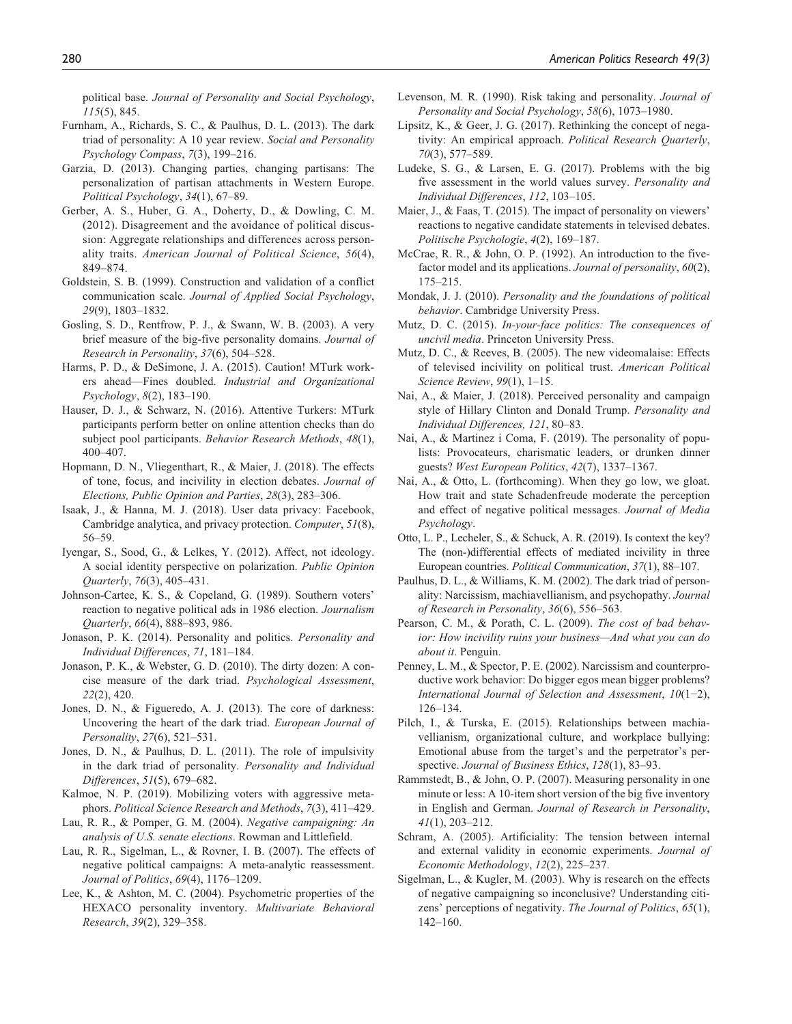political base. *Journal of Personality and Social Psychology*, *115*(5), 845.

- Furnham, A., Richards, S. C., & Paulhus, D. L. (2013). The dark triad of personality: A 10 year review. *Social and Personality Psychology Compass*, *7*(3), 199–216.
- Garzia, D. (2013). Changing parties, changing partisans: The personalization of partisan attachments in Western Europe. *Political Psychology*, *34*(1), 67–89.
- Gerber, A. S., Huber, G. A., Doherty, D., & Dowling, C. M. (2012). Disagreement and the avoidance of political discussion: Aggregate relationships and differences across personality traits. *American Journal of Political Science*, *56*(4), 849–874.
- Goldstein, S. B. (1999). Construction and validation of a conflict communication scale. *Journal of Applied Social Psychology*, *29*(9), 1803–1832.
- Gosling, S. D., Rentfrow, P. J., & Swann, W. B. (2003). A very brief measure of the big-five personality domains. *Journal of Research in Personality*, *37*(6), 504–528.
- Harms, P. D., & DeSimone, J. A. (2015). Caution! MTurk workers ahead—Fines doubled. *Industrial and Organizational Psychology*, *8*(2), 183–190.
- Hauser, D. J., & Schwarz, N. (2016). Attentive Turkers: MTurk participants perform better on online attention checks than do subject pool participants. *Behavior Research Methods*, *48*(1), 400–407.
- Hopmann, D. N., Vliegenthart, R., & Maier, J. (2018). The effects of tone, focus, and incivility in election debates. *Journal of Elections, Public Opinion and Parties*, *28*(3), 283–306.
- Isaak, J., & Hanna, M. J. (2018). User data privacy: Facebook, Cambridge analytica, and privacy protection. *Computer*, *51*(8), 56–59.
- Iyengar, S., Sood, G., & Lelkes, Y. (2012). Affect, not ideology. A social identity perspective on polarization. *Public Opinion Quarterly*, *76*(3), 405–431.
- Johnson-Cartee, K. S., & Copeland, G. (1989). Southern voters' reaction to negative political ads in 1986 election. *Journalism Quarterly*, *66*(4), 888–893, 986.
- Jonason, P. K. (2014). Personality and politics. *Personality and Individual Differences*, *71*, 181–184.
- Jonason, P. K., & Webster, G. D. (2010). The dirty dozen: A concise measure of the dark triad. *Psychological Assessment*, *22*(2), 420.
- Jones, D. N., & Figueredo, A. J. (2013). The core of darkness: Uncovering the heart of the dark triad. *European Journal of Personality*, *27*(6), 521–531.
- Jones, D. N., & Paulhus, D. L. (2011). The role of impulsivity in the dark triad of personality. *Personality and Individual Differences*, *51*(5), 679–682.
- Kalmoe, N. P. (2019). Mobilizing voters with aggressive metaphors. *Political Science Research and Methods*, *7*(3), 411–429.
- Lau, R. R., & Pomper, G. M. (2004). *Negative campaigning: An analysis of U.S. senate elections*. Rowman and Littlefield.
- Lau, R. R., Sigelman, L., & Rovner, I. B. (2007). The effects of negative political campaigns: A meta-analytic reassessment. *Journal of Politics*, *69*(4), 1176–1209.
- Lee, K., & Ashton, M. C. (2004). Psychometric properties of the HEXACO personality inventory. *Multivariate Behavioral Research*, *39*(2), 329–358.
- Levenson, M. R. (1990). Risk taking and personality. *Journal of Personality and Social Psychology*, *58*(6), 1073–1980.
- Lipsitz, K., & Geer, J. G. (2017). Rethinking the concept of negativity: An empirical approach. *Political Research Quarterly*, *70*(3), 577–589.
- Ludeke, S. G., & Larsen, E. G. (2017). Problems with the big five assessment in the world values survey. *Personality and Individual Differences*, *112*, 103–105.
- Maier, J., & Faas, T. (2015). The impact of personality on viewers' reactions to negative candidate statements in televised debates. *Politische Psychologie*, *4*(2), 169–187.
- McCrae, R. R., & John, O. P. (1992). An introduction to the fivefactor model and its applications. *Journal of personality*, *60*(2), 175–215.
- Mondak, J. J. (2010). *Personality and the foundations of political behavior*. Cambridge University Press.
- Mutz, D. C. (2015). *In-your-face politics: The consequences of uncivil media*. Princeton University Press.
- Mutz, D. C., & Reeves, B. (2005). The new videomalaise: Effects of televised incivility on political trust. *American Political Science Review*, *99*(1), 1–15.
- Nai, A., & Maier, J. (2018). Perceived personality and campaign style of Hillary Clinton and Donald Trump. *Personality and Individual Differences, 121*, 80–83.
- Nai, A., & Martinez i Coma, F. (2019). The personality of populists: Provocateurs, charismatic leaders, or drunken dinner guests? *West European Politics*, *42*(7), 1337–1367.
- Nai, A., & Otto, L. (forthcoming). When they go low, we gloat. How trait and state Schadenfreude moderate the perception and effect of negative political messages. *Journal of Media Psychology*.
- Otto, L. P., Lecheler, S., & Schuck, A. R. (2019). Is context the key? The (non-)differential effects of mediated incivility in three European countries. *Political Communication*, *37*(1), 88–107.
- Paulhus, D. L., & Williams, K. M. (2002). The dark triad of personality: Narcissism, machiavellianism, and psychopathy. *Journal of Research in Personality*, *36*(6), 556–563.
- Pearson, C. M., & Porath, C. L. (2009). *The cost of bad behavior: How incivility ruins your business—And what you can do about it*. Penguin.
- Penney, L. M., & Spector, P. E. (2002). Narcissism and counterproductive work behavior: Do bigger egos mean bigger problems? *International Journal of Selection and Assessment*, *10*(1−2), 126–134.
- Pilch, I., & Turska, E. (2015). Relationships between machiavellianism, organizational culture, and workplace bullying: Emotional abuse from the target's and the perpetrator's perspective. *Journal of Business Ethics*, *128*(1), 83–93.
- Rammstedt, B., & John, O. P. (2007). Measuring personality in one minute or less: A 10-item short version of the big five inventory in English and German. *Journal of Research in Personality*, *41*(1), 203–212.
- Schram, A. (2005). Artificiality: The tension between internal and external validity in economic experiments. *Journal of Economic Methodology*, *12*(2), 225–237.
- Sigelman, L., & Kugler, M. (2003). Why is research on the effects of negative campaigning so inconclusive? Understanding citizens' perceptions of negativity. *The Journal of Politics*, *65*(1), 142–160.